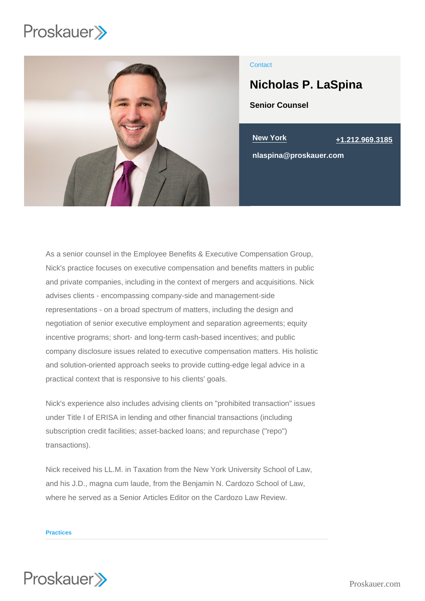

## **Contact**

# Nicholas P. LaSpina

Senior Counsel

New York [+1.212.969.3185](tel:+1.212.969.3185)

nlaspina@proskauer.com

As a senior counsel in the Employee Benefits & Executive Compensation Group, Nick's practice focuses on executive compensation and benefits matters in public and private companies, including in the context of mergers and acquisitions. Nick advises clients - encompassing company-side and management-side representations - on a broad spectrum of matters, including the design and negotiation of senior executive employment and separation agreements; equity incentive programs; short- and long-term cash-based incentives; and public company disclosure issues related to executive compensation matters. His holistic and solution-oriented approach seeks to provide cutting-edge legal advice in a practical context that is responsive to his clients' goals.

Nick's experience also includes advising clients on "prohibited transaction" issues under Title I of ERISA in lending and other financial transactions (including subscription credit facilities; asset-backed loans; and repurchase ("repo") transactions).

Nick received his LL.M. in Taxation from the New York University School of Law, and his J.D., magna cum laude, from the Benjamin N. Cardozo School of Law, where he served as a Senior Articles Editor on the Cardozo Law Review.

#### **Practices**